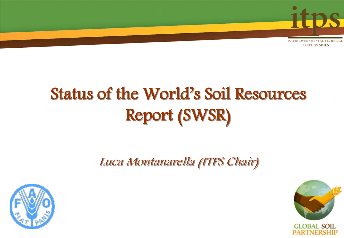

# Status of the World's Soil Resources Report (SWSR)

Luca Montanarella (ITPS Chair)



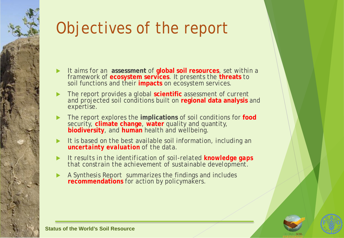# Objectives of the report

- It aims for an **assessment** of **global soil resources**, set within a framework of **ecosystem services**. It presents the **threats** to soil functions and their **impacts** on ecosystem services.
- The report provides a global **scientific** assessment of current and projected soil conditions built on **regional data analysis** and expertise.
- The report explores the **implications** of soil conditions for **food** security, **climate change**, **water** quality and quantity, **biodiversity**, and **human** health and wellbeing.
- It is based on the best available soil information, *including an uncertainty evaluation of the data.*
- *It results in the identification of soil-related knowledge gaps that constrain the achievement of sustainable development.*
- A Synthesis Report summarizes the findings and includes **recommendations** for action by policymakers.





**Status of the World's Soil Resource**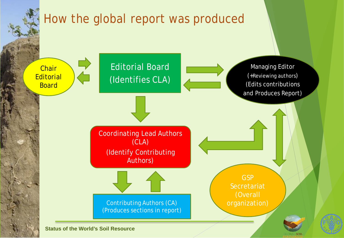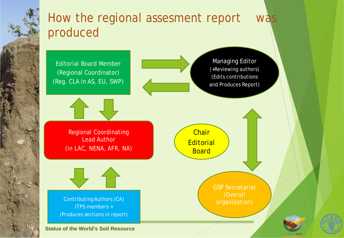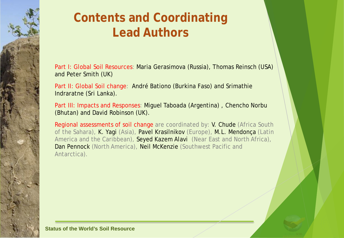#### **Contents and Coordinating Lead Authors**

Part I: Global Soil Resources: Maria Gerasimova (Russia), Thomas Reinsch (USA) and Peter Smith (UK)

Part II: Global Soil change: André Bationo (Burkina Faso) and Srimathie Indraratne (Sri Lanka).

Part III: Impacts and Responses: Miguel Taboada (Argentina) , Chencho Norbu (Bhutan) and David Robinson (UK).

Regional assessments of soil change are coordinated by: V. Chude (Africa South of the Sahara), K. Yagi (Asia), Pavel Krasilnikov (Europe), M.L. Mendonça (Latin America and the Caribbean), Seyed Kazem Alavi (Near East and North Africa), Dan Pennock (North America), Neil McKenzie (Southwest Pacific and Antarctica).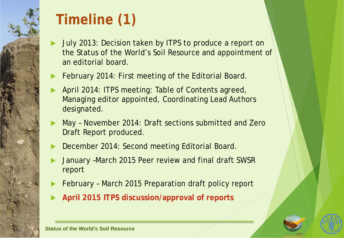# **Timeline (1)**

- July 2013: Decision taken by ITPS to produce a report on the Status of the World's Soil Resource and appointment of an editorial board.
- February 2014: First meeting of the Editorial Board.
- April 2014: ITPS meeting: Table of Contents agreed, Managing editor appointed, Coordinating Lead Authors designated.
- May November 2014: Draft sections submitted and Zero Draft Report produced.
- December 2014: Second meeting Editorial Board.
- January –March 2015 Peer review and final draft SWSR report
- February March 2015 Preparation draft policy report
- **April 2015 ITPS discussion/approval of reports**



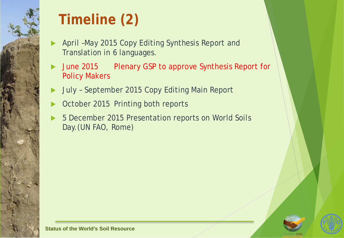

# **Timeline (2)**

- April –May 2015 Copy Editing Synthesis Report and Translation in 6 languages.
- June 2015 Plenary GSP to approve Synthesis Report for Policy Makers
- July September 2015 Copy Editing Main Report
- October 2015 Printing both reports
- 5 December 2015 Presentation reports on World Soils Day.(UN FAO, Rome)



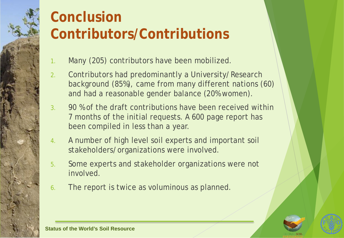#### **Conclusion Contributors/Contributions**

- 1. Many (205) contributors have been mobilized.
- 2. Contributors had predominantly a University/Research background (85%), came from many different nations (60) and had a reasonable gender balance (20% women).
- 3. 90 % of the draft contributions have been received within 7 months of the initial requests. A 600 page report has been compiled in less than a year.
- 4. A number of high level soil experts and important soil stakeholders/organizations were involved.
- 5. Some experts and stakeholder organizations were not involved.
- 6. The report is twice as voluminous as planned.



**Status of the World's Soil Resource**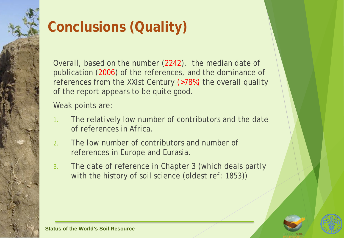## **Conclusions (Quality)**

Overall, based on the number (2242), the median date of publication (2006) of the references, and the dominance of references from the XXIst Century (>78%) the overall quality of the report appears to be quite good.

Weak points are:

- 1. The relatively low number of contributors and the date of references in Africa.
- 2. The low number of contributors and number of references in Europe and Eurasia.
- 3. The date of reference in Chapter 3 (which deals partly with the history of soil science (oldest ref: 1853))



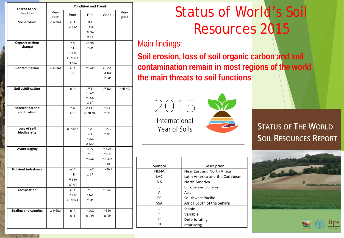| <b>Threat to soil</b>           | <b>Condition and Trend</b> |                 |                             |              |              |     |
|---------------------------------|----------------------------|-----------------|-----------------------------|--------------|--------------|-----|
| function                        | Very<br>poor               | Poor            | Fair                        | Good         | Very<br>good |     |
| Soil erosion                    | $\nu$ NENA                 | ΚA              | A E                         |              |              |     |
|                                 |                            | $\angle$ LAC    | $~\sim$ SSA                 |              |              |     |
|                                 |                            |                 | <b>フ NA</b>                 |              |              |     |
|                                 |                            |                 | A SP                        |              |              |     |
| <b>Organic carbon</b><br>change |                            | $~\sim$ A       | <b>7 NA</b>                 |              |              | Mai |
|                                 |                            | $~\sim$ E       | $~\sim$ SP                  |              |              |     |
|                                 |                            | $\nu$ LAC       |                             |              |              | Soi |
|                                 |                            | <b>∠ NENA</b>   |                             |              |              |     |
|                                 |                            | <b>フ SSA</b>    |                             |              |              |     |
| Contamination                   | $\mathsf{K}$ NENA          | ĽΑ              | $~\sim$ LAC                 | $\angle$ SSA |              | con |
|                                 |                            | ЛE              |                             | AN K         |              | the |
|                                 |                            |                 |                             | A SP         |              |     |
|                                 |                            |                 |                             |              |              |     |
| Soil acidification              |                            | <b>∠A</b>       | ЛE<br>$~\sim$ LAC           | <b>7 NA</b>  | $~\sim$ NENA |     |
|                                 |                            |                 | $~\sim$ SSA                 |              |              |     |
|                                 |                            |                 | ⊮ SP                        |              |              |     |
| <b>Salinization and</b>         |                            | $~\sim$ A       | $\mathsf{L}^\mathsf{c}$ LAC | $~\sim$ NA   |              |     |
| sodification                    |                            | ΚE              | $\nu$ NENA                  | $\sim$ SP    |              |     |
|                                 |                            |                 |                             |              |              |     |
|                                 |                            |                 |                             |              |              |     |
| Loss of soil                    |                            | $\angle$ NENA   | $~\sim$ A                   | $~\sim$ NA   |              |     |
| biodiversity                    |                            |                 | ΚE                          | $\sim$ SP    |              |     |
|                                 |                            |                 | $~\sim$ LAC                 |              |              |     |
|                                 |                            |                 | $\angle$ SSA                |              |              |     |
| Waterlogging                    |                            |                 | ĽΑ                          | $\sim$ SSA   |              |     |
|                                 |                            |                 | $\sim$ E                    | $~\sim$ NA   |              |     |
|                                 |                            |                 | $\sim$ LAC                  | $\sim$ NENA  |              |     |
|                                 |                            |                 |                             | $~\sim$ SP   |              |     |
| <b>Nutrient imbalance</b>       |                            | <b>∠</b> Α      | $\sim$ LAC                  | $\sim$ NENA  |              |     |
|                                 |                            | $\sim$ E        | ⊮ SP                        |              |              |     |
|                                 |                            | フ SSA           |                             |              |              |     |
|                                 |                            | $\mathsf{K}$ NA |                             |              |              |     |
| Compaction                      |                            | ĽΑ              | $\sim$ E                    | $~\sim$ SSA  |              |     |
|                                 |                            | $\angle$ LAC    | $~\sim$ NA                  |              |              |     |
|                                 |                            | <b>∠ NENA</b>   | $\sim$ SP                   |              |              |     |
|                                 |                            |                 |                             |              |              |     |
| <b>Sealing and capping</b>      | <b>∠ NENA</b>              | ΚA              | $~\sim$ LAC                 | $~\sim$ SSA  |              |     |
|                                 |                            | ΚE              | <b>∠ NA</b>                 | ⊮ SP         |              |     |
|                                 |                            |                 |                             |              |              |     |
|                                 |                            |                 |                             |              |              |     |
|                                 |                            |                 |                             |              |              |     |

**ANTIQUE AN** 

#### Status of World's Soil Resources 2015

#### in findings:

Symbol **NENA** 

LAC

**NA** 

E

A

SP

**SSA** 

 $\overline{\phantom{a}}$  $\sim$ 

K

 $\overline{\mathcal{A}}$ 

**Solution Figure 1 and 5 location is extended Soil I** erosion, loss of and soil **contamination remain in most regions of the world the main threats to soil functions**

2015 International Year of Soils



Description

Latin America and the Caribbean

Near East and North Africa

Africa South of the Sahara

North America

Asia

Stable

Variable

Improving

Deteriorating

**Europe and Eurasia** 

Southwest Pacific

**STATUS OF THE WORLD SOIL RESOURCES REPORT** 



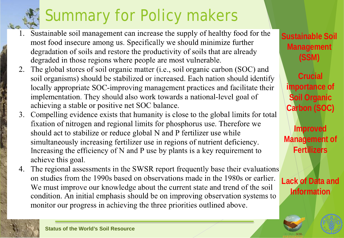# Summary for Policy makers

- Sustainable soil management can increase the supply of healthy food for the  $1_{\cdot}$ most food insecure among us. Specifically we should minimize further degradation of soils and restore the productivity of soils that are already degraded in those regions where people are most vulnerable.
- The global stores of soil organic matter (i.e., soil organic carbon (SOC) and 2. soil organisms) should be stabilized or increased. Each nation should identify locally appropriate SOC-improving management practices and facilitate their implementation. They should also work towards a national-level goal of achieving a stable or positive net SOC balance.
- 3. Compelling evidence exists that humanity is close to the global limits for total fixation of nitrogen and regional limits for phosphorus use. Therefore we should act to stabilize or reduce global N and P fertilizer use while simultaneously increasing fertilizer use in regions of nutrient deficiency. Increasing the efficiency of N and P use by plants is a key requirement to achieve this goal.
- The regional assessments in the SWSR report frequently base their evaluations 4. on studies from the 1990s based on observations made in the 1980s or earlier. We must improve our knowledge about the current state and trend of the soil condition. An initial emphasis should be on improving observation systems to monitor our progress in achieving the three priorities outlined above.

**Sustainable Soil Management (SSM)**

**Crucial importance of Soil Organic Carbon (SOC)**

**Improved Management of Fertilizers**

**Lack of Data and Information**